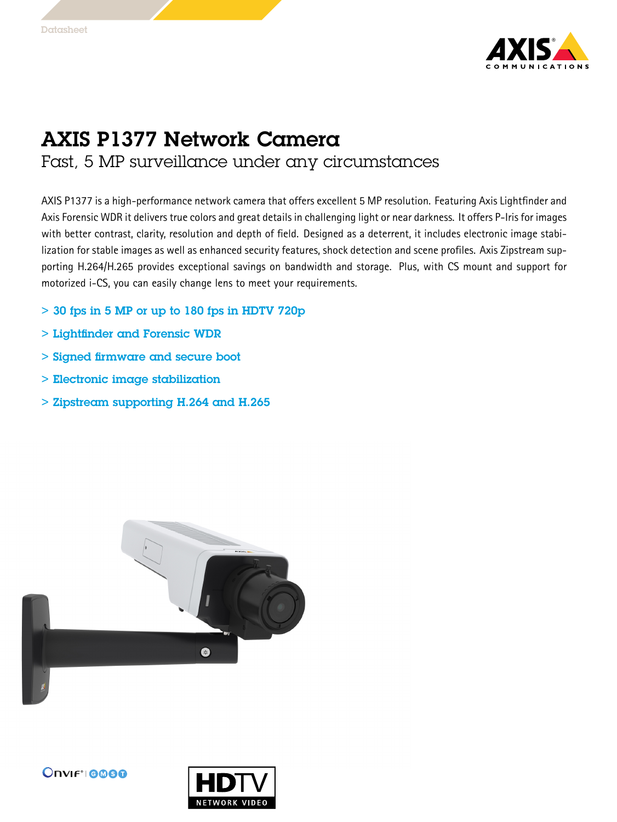

## AXIS P1377 Network Camera

## Fast, 5 MP surveillance under any circumstances

AXIS P1377 is <sup>a</sup> high-performance network camera that offers excellent 5 MP resolution. Featuring Axis Lightfinder and Axis Forensic WDR it delivers true colors and great details in challenging light or near darkness. It offers P-Iris for images with better contrast, clarity, resolution and depth of field. Designed as <sup>a</sup> deterrent, it includes electronic image stabilization for stable images as well as enhanced security features, shock detection and scene profiles. Axis Zipstream supporting H.264/H.265 provides exceptional savings on bandwidth and storage. Plus, with CS mount and support for motorized i-CS, you can easily change lens to meet your requirements.

- $>$  30 fps in 5 MP or up to 180 fps in HDTV 720p
- > Lightfinder and Forensic WDR
- > Signed firmware and secure boot
- > Electronic image stabilization
- > Zipstream supporting H.264 and H.265





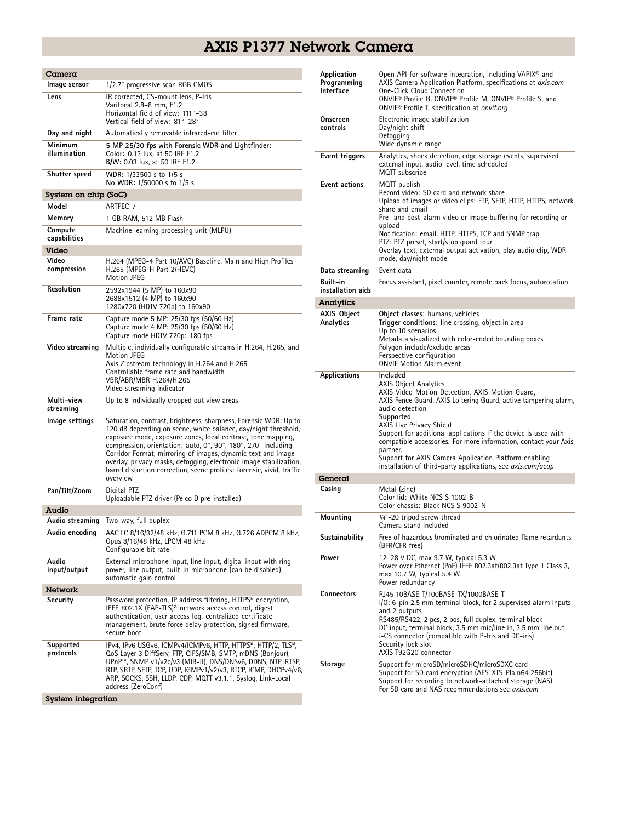## AXIS P1377 Network Camera

| Camera                  |                                                                                                                                                                                                                                                                                                                                                                                                                                                                                                 |
|-------------------------|-------------------------------------------------------------------------------------------------------------------------------------------------------------------------------------------------------------------------------------------------------------------------------------------------------------------------------------------------------------------------------------------------------------------------------------------------------------------------------------------------|
| Image sensor            | 1/2.7" progressive scan RGB CMOS                                                                                                                                                                                                                                                                                                                                                                                                                                                                |
| Lens                    | IR corrected, CS-mount lens, P-Iris<br>Varifocal 2.8–8 mm, F1.2<br>Horizontal field of view: 111°-38°<br>Vertical field of view: 81°-28°                                                                                                                                                                                                                                                                                                                                                        |
| Day and night           | Automatically removable infrared-cut filter                                                                                                                                                                                                                                                                                                                                                                                                                                                     |
| Minimum<br>illumination | 5 MP 25/30 fps with Forensic WDR and Lightfinder:<br>Color: 0.13 lux, at 50 IRE F1.2<br>B/W: 0.03 lux, at 50 IRE F1.2                                                                                                                                                                                                                                                                                                                                                                           |
| Shutter speed           | WDR: 1/33500 s to 1/5 s<br>No WDR: 1/50000 s to 1/5 s                                                                                                                                                                                                                                                                                                                                                                                                                                           |
| System on chip (SoC)    |                                                                                                                                                                                                                                                                                                                                                                                                                                                                                                 |
| Model                   | ARTPEC-7                                                                                                                                                                                                                                                                                                                                                                                                                                                                                        |
| Memory                  | 1 GB RAM, 512 MB Flash                                                                                                                                                                                                                                                                                                                                                                                                                                                                          |
| Compute<br>capabilities | Machine learning processing unit (MLPU)                                                                                                                                                                                                                                                                                                                                                                                                                                                         |
| Video                   |                                                                                                                                                                                                                                                                                                                                                                                                                                                                                                 |
| Video<br>compression    | H.264 (MPEG-4 Part 10/AVC) Baseline, Main and High Profiles<br>H.265 (MPEG-H Part 2/HEVC)<br><b>Motion JPEG</b>                                                                                                                                                                                                                                                                                                                                                                                 |
| Resolution              | 2592x1944 (5 MP) to 160x90<br>2688x1512 (4 MP) to 160x90<br>1280x720 (HDTV 720p) to 160x90                                                                                                                                                                                                                                                                                                                                                                                                      |
| Frame rate              | Capture mode 5 MP: 25/30 fps (50/60 Hz)<br>Capture mode 4 MP: 25/30 fps (50/60 Hz)<br>Capture mode HDTV 720p: 180 fps                                                                                                                                                                                                                                                                                                                                                                           |
| Video streaming         | Multiple, individually configurable streams in H.264, H.265, and<br>Motion JPEG<br>Axis Zipstream technology in H.264 and H.265<br>Controllable frame rate and bandwidth<br>VBR/ABR/MBR H.264/H.265<br>Video streaming indicator                                                                                                                                                                                                                                                                |
| Multi-view<br>streaming | Up to 8 individually cropped out view areas                                                                                                                                                                                                                                                                                                                                                                                                                                                     |
| lmage settings          | Saturation, contrast, brightness, sharpness, Forensic WDR: Up to<br>120 dB depending on scene, white balance, day/night threshold,<br>exposure mode, exposure zones, local contrast, tone mapping,<br>compression, orientation: auto, 0°, 90°, 180°, 270° including<br>Corridor Format, mirroring of images, dynamic text and image<br>overlay, privacy masks, defogging, electronic image stabilization,<br>barrel distortion correction, scene profiles: forensic, vivid, traffic<br>overview |
| Pan/Tilt/Zoom           | Digital PTZ<br>Uploadable PTZ driver (Pelco D pre-installed)                                                                                                                                                                                                                                                                                                                                                                                                                                    |
| Audio                   |                                                                                                                                                                                                                                                                                                                                                                                                                                                                                                 |
| Audio streaming         | Two-way, full duplex                                                                                                                                                                                                                                                                                                                                                                                                                                                                            |
| Audio encoding          | AAC LC 8/16/32/48 kHz, G.711 PCM 8 kHz, G.726 ADPCM 8 kHz,<br>Opus 8/16/48 kHz, LPCM 48 kHz<br>Configurable bit rate                                                                                                                                                                                                                                                                                                                                                                            |
| Audio<br>input/output   | External microphone input, line input, digital input with ring<br>power, line output, built-in microphone (can be disabled),<br>automatic gain control                                                                                                                                                                                                                                                                                                                                          |
| Network                 |                                                                                                                                                                                                                                                                                                                                                                                                                                                                                                 |
| Security                | Password protection, IP address filtering, HTTPS <sup>a</sup> encryption,<br>IEEE 802.1X (EAP-TLS) <sup>a</sup> network access control, digest<br>authentication, user access log, centralized certificate<br>management, brute force delay protection, signed firmware,<br>secure boot                                                                                                                                                                                                         |
| Supported<br>protocols  | IPv4, IPv6 USGv6, ICMPv4/ICMPv6, HTTP, HTTPS <sup>a</sup> , HTTP/2, TLS <sup>a</sup> ,<br>QoS Layer 3 DiffServ, FTP, CIFS/SMB, SMTP, mDNS (Bonjour),<br>UPnP™, SNMP v1/v2c/v3 (MIB-II), DNS/DNSv6, DDNS, NTP, RTSP,<br>RTP, SRTP, SFTP, TCP, UDP, IGMPv1/v2/v3, RTCP, ICMP, DHCPv4/v6,<br>ARP, SOCKS, SSH, LLDP, CDP, MQTT v3.1.1, Syslog, Link-Local<br>address (ZeroConf)                                                                                                                     |
| System integration      |                                                                                                                                                                                                                                                                                                                                                                                                                                                                                                 |

| Application<br>Programming<br>Interface | Open API for software integration, including VAPIX <sup>®</sup> and<br>AXIS Camera Application Platform, specifications at axis.com<br><b>One-Click Cloud Connection</b><br>ONVIF® Profile G, ONVIF® Profile M, ONVIF® Profile S, and<br>ONVIF® Profile T, specification at onvif.org                                                                                                                                                                                                               |
|-----------------------------------------|-----------------------------------------------------------------------------------------------------------------------------------------------------------------------------------------------------------------------------------------------------------------------------------------------------------------------------------------------------------------------------------------------------------------------------------------------------------------------------------------------------|
| Onscreen<br>controls                    | Electronic image stabilization<br>Day/night shift<br>Defogging<br>Wide dynamic range                                                                                                                                                                                                                                                                                                                                                                                                                |
| Event triggers                          | Analytics, shock detection, edge storage events, supervised<br>external input, audio level, time scheduled<br>MOTT subscribe                                                                                                                                                                                                                                                                                                                                                                        |
| <b>Event actions</b>                    | MQTT publish<br>Record video: SD card and network share<br>Upload of images or video clips: FTP, SFTP, HTTP, HTTPS, network<br>share and email<br>Pre- and post-alarm video or image buffering for recording or<br>upload<br>Notification: email, HTTP, HTTPS, TCP and SNMP trap<br>PTZ: PTZ preset, start/stop quard tour<br>Overlay text, external output activation, play audio clip, WDR<br>mode, day/night mode                                                                                |
| Data streaming                          | Event data                                                                                                                                                                                                                                                                                                                                                                                                                                                                                          |
| <b>Built-in</b><br>installation aids    | Focus assistant, pixel counter, remote back focus, autorotation                                                                                                                                                                                                                                                                                                                                                                                                                                     |
| Analytics                               |                                                                                                                                                                                                                                                                                                                                                                                                                                                                                                     |
| <b>AXIS Object</b><br>Analytics         | Object classes: humans, vehicles<br>Trigger conditions: line crossing, object in area<br>Up to 10 scenarios<br>Metadata visualized with color-coded bounding boxes<br>Polygon include/exclude areas<br>Perspective configuration<br><b>ONVIF Motion Alarm event</b>                                                                                                                                                                                                                                 |
| <b>Applications</b>                     | Included<br>AXIS Object Analytics<br>AXIS Video Motion Detection, AXIS Motion Guard,<br>AXIS Fence Guard, AXIS Loitering Guard, active tampering alarm,<br>audio detection<br>Supported<br>AXIS Live Privacy Shield<br>Support for additional applications if the device is used with<br>compatible accessories. For more information, contact your Axis<br>partner.<br>Support for AXIS Camera Application Platform enabling<br>installation of third-party applications, see <i>axis.com/acap</i> |
| General                                 |                                                                                                                                                                                                                                                                                                                                                                                                                                                                                                     |
| Casing                                  | Metal (zinc)<br>Color lid: White NCS S 1002-B<br>Color chassis: Black NCS S 9002-N                                                                                                                                                                                                                                                                                                                                                                                                                  |
| Mounting                                | 1/4"-20 tripod screw thread<br>Camera stand included                                                                                                                                                                                                                                                                                                                                                                                                                                                |
| Sustainability                          | Free of hazardous brominated and chlorinated flame retardants<br>(BFR/CFR free)                                                                                                                                                                                                                                                                                                                                                                                                                     |
| Power                                   | 12-28 V DC, max 9.7 W, typical 5.3 W<br>Power over Ethernet (PoE) IEEE 802.3af/802.3at Type 1 Class 3,<br>max 10.7 W, typical 5.4 W<br>Power redundancy                                                                                                                                                                                                                                                                                                                                             |
| Connectors                              | RJ45 10BASE-T/100BASE-TX/1000BASE-T<br>I/O: 6-pin 2.5 mm terminal block, for 2 supervised alarm inputs<br>and 2 outputs<br>RS485/RS422, 2 pcs, 2 pos, full duplex, terminal block<br>DC input, terminal block, 3.5 mm mic/line in, 3.5 mm line out<br>i-CS connector (compatible with P-Iris and DC-iris)<br>Security lock slot<br>AXIS T92G20 connector                                                                                                                                            |
| Storage                                 | Support for microSD/microSDHC/microSDXC card<br>Support for SD card encryption (AES-XTS-Plain64 256bit)<br>Support for recording to network-attached storage (NAS)<br>For SD card and NAS recommendations see axis.com                                                                                                                                                                                                                                                                              |